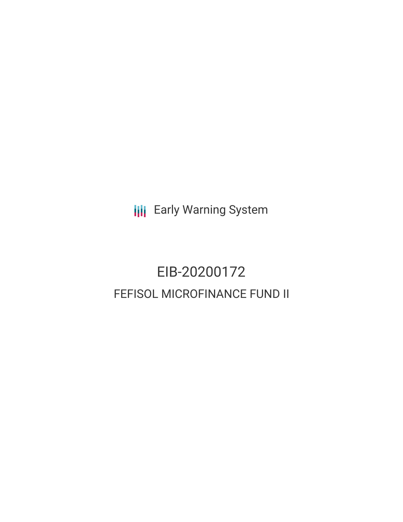**III** Early Warning System

# EIB-20200172 FEFISOL MICROFINANCE FUND II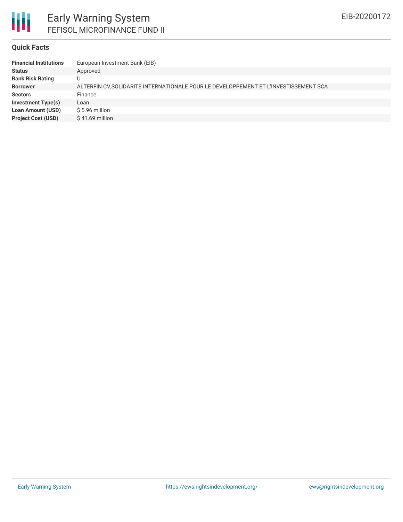

#### **Quick Facts**

| <b>Financial Institutions</b> | European Investment Bank (EIB)                                                       |
|-------------------------------|--------------------------------------------------------------------------------------|
| <b>Status</b>                 | Approved                                                                             |
| <b>Bank Risk Rating</b>       |                                                                                      |
| <b>Borrower</b>               | ALTERFIN CV, SOLIDARITE INTERNATIONALE POUR LE DEVELOPPEMENT ET L'INVESTISSEMENT SCA |
| <b>Sectors</b>                | Finance                                                                              |
| <b>Investment Type(s)</b>     | Loan                                                                                 |
| <b>Loan Amount (USD)</b>      | $$5.96$ million                                                                      |
| <b>Project Cost (USD)</b>     | $$41.69$ million                                                                     |
|                               |                                                                                      |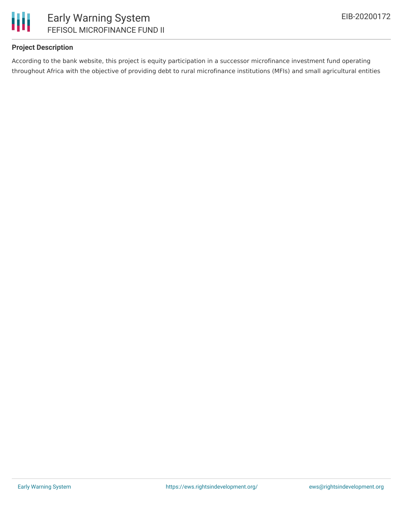

## **Project Description**

According to the bank website, this project is equity participation in a successor microfinance investment fund operating throughout Africa with the objective of providing debt to rural microfinance institutions (MFIs) and small agricultural entities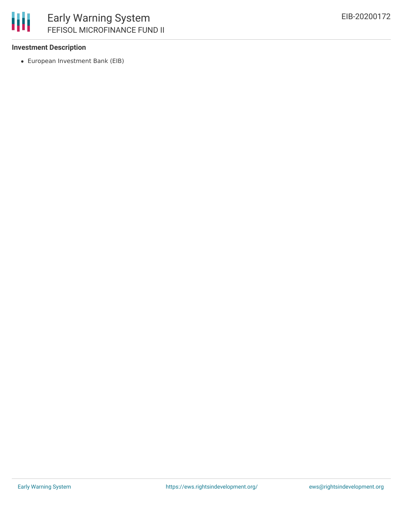

### **Investment Description**

European Investment Bank (EIB)